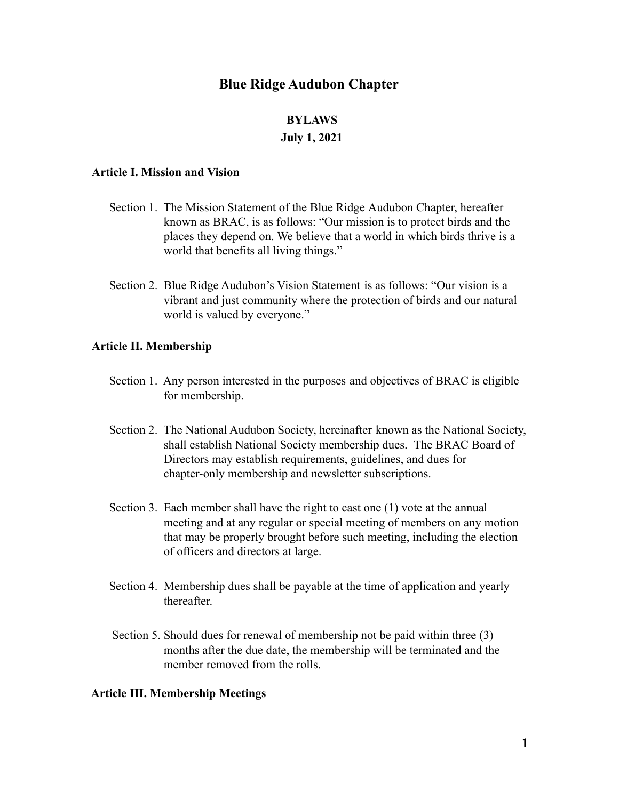# **Blue Ridge Audubon Chapter**

## **BYLAWS**

## **July 1, 2021**

## **Article I. Mission and Vision**

- Section 1. The Mission Statement of the Blue Ridge Audubon Chapter, hereafter known as BRAC, is as follows: "Our mission is to protect birds and the places they depend on. We believe that a world in which birds thrive is a world that benefits all living things."
- Section 2. Blue Ridge Audubon's Vision Statement is as follows: "Our vision is a vibrant and just community where the protection of birds and our natural world is valued by everyone."

## **Article II. Membership**

- Section 1. Any person interested in the purposes and objectives of BRAC is eligible for membership.
- Section 2. The National Audubon Society, hereinafter known as the National Society, shall establish National Society membership dues. The BRAC Board of Directors may establish requirements, guidelines, and dues for chapter-only membership and newsletter subscriptions.
- Section 3. Each member shall have the right to cast one (1) vote at the annual meeting and at any regular or special meeting of members on any motion that may be properly brought before such meeting, including the election of officers and directors at large.
- Section 4. Membership dues shall be payable at the time of application and yearly thereafter.
- Section 5. Should dues for renewal of membership not be paid within three (3) months after the due date, the membership will be terminated and the member removed from the rolls.

#### **Article III. Membership Meetings**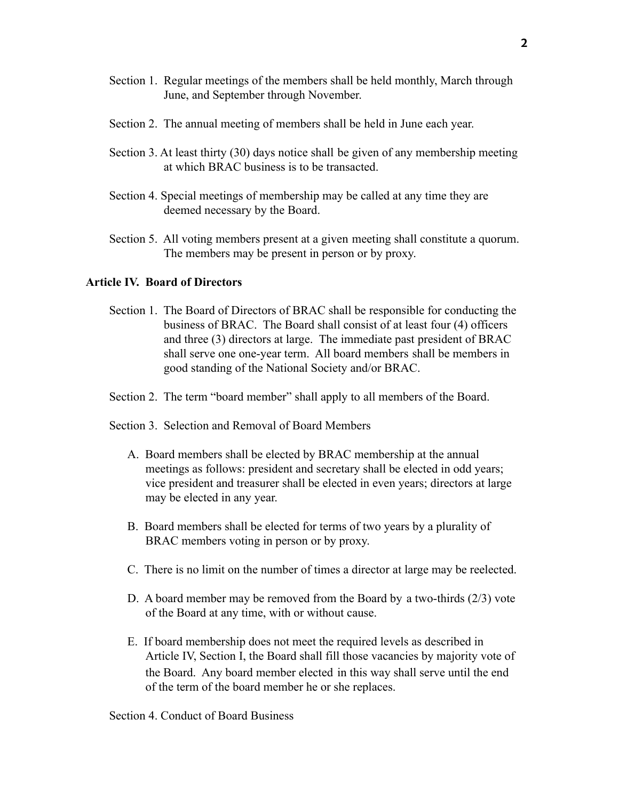- Section 1. Regular meetings of the members shall be held monthly, March through June, and September through November.
- Section 2. The annual meeting of members shall be held in June each year.
- Section 3. At least thirty (30) days notice shall be given of any membership meeting at which BRAC business is to be transacted.
- Section 4. Special meetings of membership may be called at any time they are deemed necessary by the Board.
- Section 5. All voting members present at a given meeting shall constitute a quorum. The members may be present in person or by proxy.

# **Article IV. Board of Directors**

- Section 1. The Board of Directors of BRAC shall be responsible for conducting the business of BRAC. The Board shall consist of at least four (4) officers and three (3) directors at large. The immediate past president of BRAC shall serve one one-year term. All board members shall be members in good standing of the National Society and/or BRAC.
- Section 2. The term "board member" shall apply to all members of the Board.
- Section 3. Selection and Removal of Board Members
	- A. Board members shall be elected by BRAC membership at the annual meetings as follows: president and secretary shall be elected in odd years; vice president and treasurer shall be elected in even years; directors at large may be elected in any year.
	- B. Board members shall be elected for terms of two years by a plurality of BRAC members voting in person or by proxy.
	- C. There is no limit on the number of times a director at large may be reelected.
	- D. A board member may be removed from the Board by a two-thirds (2/3) vote of the Board at any time, with or without cause.
	- E. If board membership does not meet the required levels as described in Article IV, Section I, the Board shall fill those vacancies by majority vote of the Board. Any board member elected in this way shall serve until the end of the term of the board member he or she replaces.

Section 4. Conduct of Board Business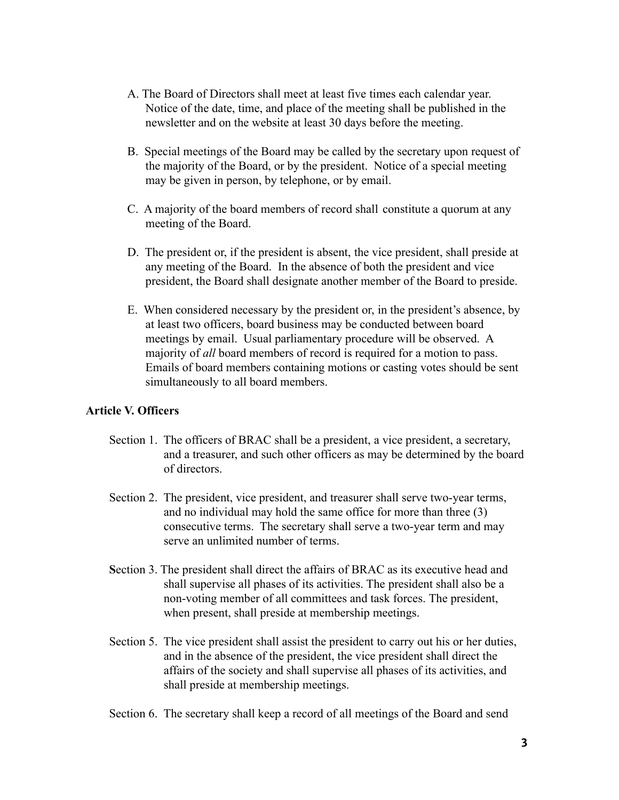- A. The Board of Directors shall meet at least five times each calendar year. Notice of the date, time, and place of the meeting shall be published in the newsletter and on the website at least 30 days before the meeting.
- B. Special meetings of the Board may be called by the secretary upon request of the majority of the Board, or by the president. Notice of a special meeting may be given in person, by telephone, or by email.
- C. A majority of the board members of record shall constitute a quorum at any meeting of the Board.
- D. The president or, if the president is absent, the vice president, shall preside at any meeting of the Board. In the absence of both the president and vice president, the Board shall designate another member of the Board to preside.
- E. When considered necessary by the president or, in the president's absence, by at least two officers, board business may be conducted between board meetings by email. Usual parliamentary procedure will be observed. A majority of *all* board members of record is required for a motion to pass. Emails of board members containing motions or casting votes should be sent simultaneously to all board members.

# **Article V. Officers**

- Section 1. The officers of BRAC shall be a president, a vice president, a secretary, and a treasurer, and such other officers as may be determined by the board of directors.
- Section 2. The president, vice president, and treasurer shall serve two-year terms, and no individual may hold the same office for more than three (3) consecutive terms. The secretary shall serve a two-year term and may serve an unlimited number of terms.
- **S**ection 3. The president shall direct the affairs of BRAC as its executive head and shall supervise all phases of its activities. The president shall also be a non-voting member of all committees and task forces. The president, when present, shall preside at membership meetings.
- Section 5. The vice president shall assist the president to carry out his or her duties, and in the absence of the president, the vice president shall direct the affairs of the society and shall supervise all phases of its activities, and shall preside at membership meetings.
- Section 6. The secretary shall keep a record of all meetings of the Board and send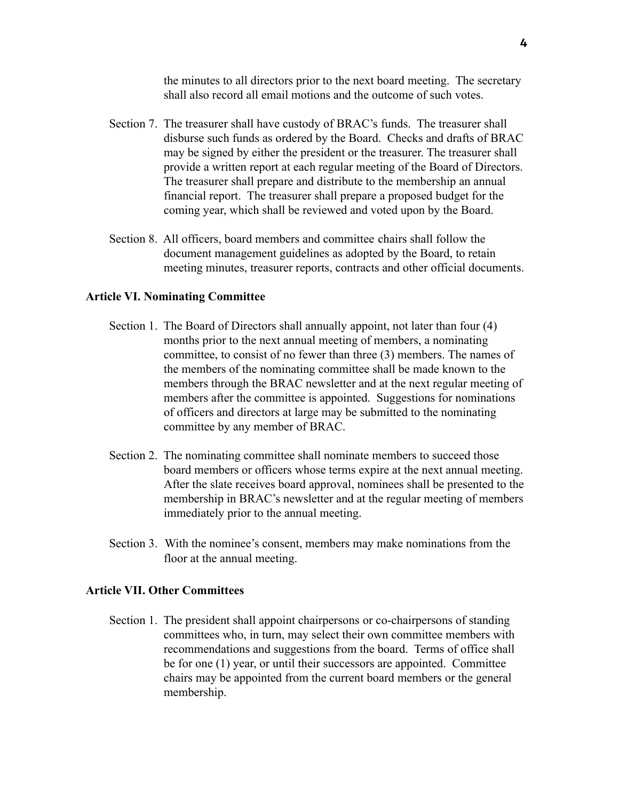the minutes to all directors prior to the next board meeting. The secretary shall also record all email motions and the outcome of such votes.

- Section 7. The treasurer shall have custody of BRAC's funds. The treasurer shall disburse such funds as ordered by the Board. Checks and drafts of BRAC may be signed by either the president or the treasurer. The treasurer shall provide a written report at each regular meeting of the Board of Directors. The treasurer shall prepare and distribute to the membership an annual financial report. The treasurer shall prepare a proposed budget for the coming year, which shall be reviewed and voted upon by the Board.
- Section 8. All officers, board members and committee chairs shall follow the document management guidelines as adopted by the Board, to retain meeting minutes, treasurer reports, contracts and other official documents.

### **Article VI. Nominating Committee**

- Section 1. The Board of Directors shall annually appoint, not later than four (4) months prior to the next annual meeting of members, a nominating committee, to consist of no fewer than three (3) members. The names of the members of the nominating committee shall be made known to the members through the BRAC newsletter and at the next regular meeting of members after the committee is appointed. Suggestions for nominations of officers and directors at large may be submitted to the nominating committee by any member of BRAC.
- Section 2. The nominating committee shall nominate members to succeed those board members or officers whose terms expire at the next annual meeting. After the slate receives board approval, nominees shall be presented to the membership in BRAC's newsletter and at the regular meeting of members immediately prior to the annual meeting.
- Section 3. With the nominee's consent, members may make nominations from the floor at the annual meeting.

# **Article VII. Other Committees**

Section 1. The president shall appoint chairpersons or co-chairpersons of standing committees who, in turn, may select their own committee members with recommendations and suggestions from the board. Terms of office shall be for one (1) year, or until their successors are appointed. Committee chairs may be appointed from the current board members or the general membership.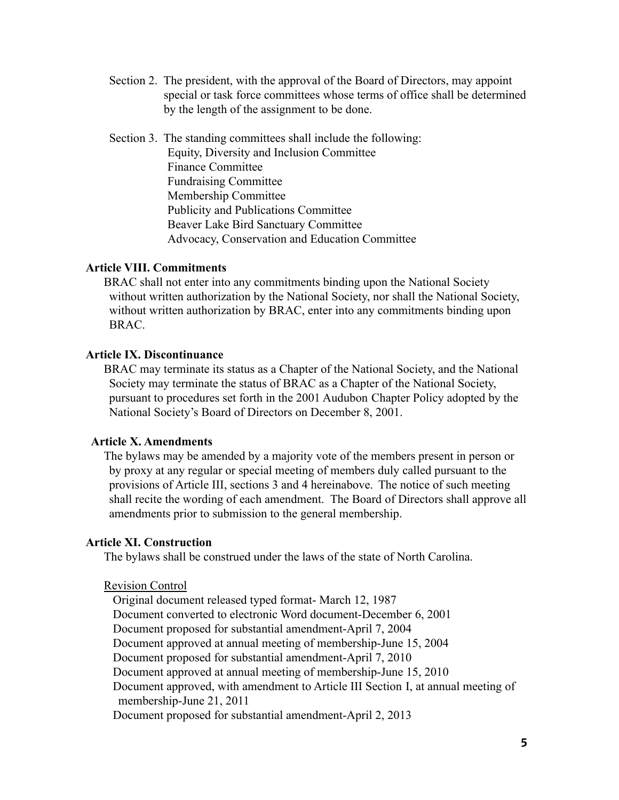- Section 2. The president, with the approval of the Board of Directors, may appoint special or task force committees whose terms of office shall be determined by the length of the assignment to be done.
- Section 3. The standing committees shall include the following: Equity, Diversity and Inclusion Committee Finance Committee Fundraising Committee Membership Committee Publicity and Publications Committee Beaver Lake Bird Sanctuary Committee Advocacy, Conservation and Education Committee

# **Article VIII. Commitments**

BRAC shall not enter into any commitments binding upon the National Society without written authorization by the National Society, nor shall the National Society, without written authorization by BRAC, enter into any commitments binding upon BRAC.

### **Article IX. Discontinuance**

BRAC may terminate its status as a Chapter of the National Society, and the National Society may terminate the status of BRAC as a Chapter of the National Society, pursuant to procedures set forth in the 2001 Audubon Chapter Policy adopted by the National Society's Board of Directors on December 8, 2001.

### **Article X. Amendments**

The bylaws may be amended by a majority vote of the members present in person or by proxy at any regular or special meeting of members duly called pursuant to the provisions of Article III, sections 3 and 4 hereinabove. The notice of such meeting shall recite the wording of each amendment. The Board of Directors shall approve all amendments prior to submission to the general membership.

#### **Article XI. Construction**

The bylaws shall be construed under the laws of the state of North Carolina.

#### Revision Control

Original document released typed format- March 12, 1987 Document converted to electronic Word document-December 6, 2001 Document proposed for substantial amendment-April 7, 2004 Document approved at annual meeting of membership-June 15, 2004 Document proposed for substantial amendment-April 7, 2010 Document approved at annual meeting of membership-June 15, 2010 Document approved, with amendment to Article III Section I, at annual meeting of membership-June 21, 2011 Document proposed for substantial amendment-April 2, 2013